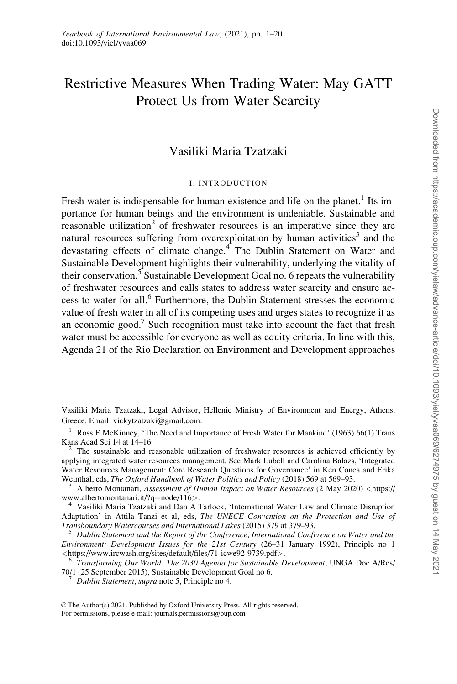# Restrictive Measures When Trading Water: May GATT Protect Us from Water Scarcity

## Vasiliki Maria Tzatzaki

#### I. INTRODUCTION

Fresh water is indispensable for human existence and life on the planet.<sup>1</sup> Its importance for human beings and the environment is undeniable. Sustainable and reasonable utilization<sup>2</sup> of freshwater resources is an imperative since they are natural resources suffering from overexploitation by human activities<sup>3</sup> and the devastating effects of climate change.<sup>4</sup> The Dublin Statement on Water and Sustainable Development highlights their vulnerability, underlying the vitality of their conservation.<sup>5</sup> Sustainable Development Goal no. 6 repeats the vulnerability of freshwater resources and calls states to address water scarcity and ensure access to water for all.6 Furthermore, the Dublin Statement stresses the economic value of fresh water in all of its competing uses and urges states to recognize it as an economic good.<sup>7</sup> Such recognition must take into account the fact that fresh water must be accessible for everyone as well as equity criteria. In line with this, Agenda 21 of the Rio Declaration on Environment and Development approaches

Vasiliki Maria Tzatzaki, Legal Advisor, Hellenic Ministry of Environment and Energy, Athens, Greece. Email: vickytzatzaki@gmail.com.

<sup>1</sup> Ross E McKinney, 'The Need and Importance of Fresh Water for Mankind' (1963) 66(1) Trans Kans Acad Sci 14 at  $14-16$ .

 $2$  The sustainable and reasonable utilization of freshwater resources is achieved efficiently by applying integrated water resources management. See Mark Lubell and Carolina Balazs, 'Integrated Water Resources Management: Core Research Questions for Governance' in Ken Conca and Erika

Weinthal, eds, *The Oxford Handbook of Water Politics and Policy* (2018) 569 at 569–93.<br><sup>3</sup> Alberto Montanari, Assessment of Human Impact on Water Resources (2 May 2020) <[https://](https://www.albertomontanari.it/?q=node/116)<br>www.albertomontanari.it/?q=node/116>.

<sup>4</sup> Vasiliki Maria Tzatzaki and Dan A Tarlock, 'International Water Law and Climate Disruption Adaptation' in Attila Tanzi et al, eds, The UNECE Convention on the Protection and Use of Transboundary Watercourses and International Lakes (2015) 379 at 379–93. <sup>5</sup> Dublin Statement and the Report of the Conference, International Conference on Water and the

Environment: Development Issues for the 21st Century (26–31 January 1992), Principle no 1 % <https://www.ircwash.org/sites/default/files/71-icwe92-9739.pdf>>.<br><sup>6</sup> Transforming Our World: The 2030 Agenda for Sustainable Development, UNGA Doc A/Res/

70/1 (25 September 2015), Sustainable Development Goal no 6. <sup>7</sup> Dublin Statement, supra note 5, Principle no 4.

 $\circ$  The Author(s) 2021. Published by Oxford University Press. All rights reserved. For permissions, please e-mail: journals.permissions@oup.com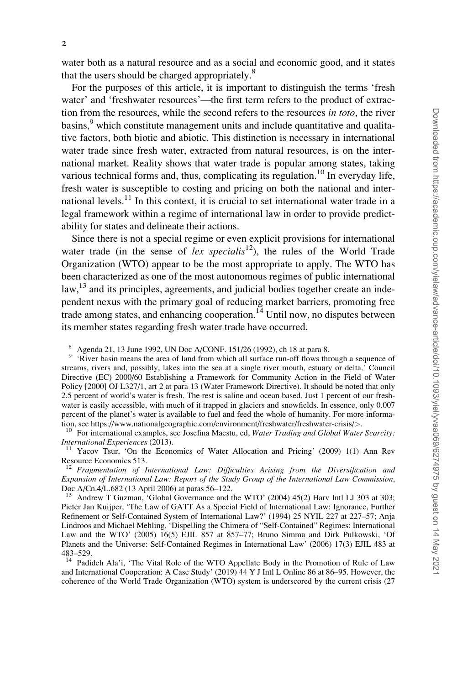water both as a natural resource and as a social and economic good, and it states that the users should be charged appropriately.<sup>8</sup>

For the purposes of this article, it is important to distinguish the terms 'fresh water' and 'freshwater resources'—the first term refers to the product of extraction from the resources, while the second refers to the resources in toto, the river  $basins<sup>9</sup>$ , which constitute management units and include quantitative and qualitative factors, both biotic and abiotic. This distinction is necessary in international water trade since fresh water, extracted from natural resources, is on the international market. Reality shows that water trade is popular among states, taking various technical forms and, thus, complicating its regulation.<sup>10</sup> In everyday life, fresh water is susceptible to costing and pricing on both the national and international levels.<sup>11</sup> In this context, it is crucial to set international water trade in a legal framework within a regime of international law in order to provide predictability for states and delineate their actions.

Since there is not a special regime or even explicit provisions for international water trade (in the sense of lex specialis<sup>12</sup>), the rules of the World Trade Organization (WTO) appear to be the most appropriate to apply. The WTO has been characterized as one of the most autonomous regimes of public international  $\mu$ <sup>13</sup> and its principles, agreements, and judicial bodies together create an independent nexus with the primary goal of reducing market barriers, promoting free trade among states, and enhancing cooperation.<sup> $14$ </sup> Until now, no disputes between its member states regarding fresh water trade have occurred.

<sup>8</sup> Agenda 21, 13 June 1992, UN Doc A/CONF. 151/26 (1992), ch 18 at para 8.<br><sup>9</sup> 'River basin means the area of land from which all surface run-off flows through a sequence of streams, rivers and, possibly, lakes into the sea at a single river mouth, estuary or delta.' Council Directive (EC) 2000/60 Establishing a Framework for Community Action in the Field of Water Policy [2000] OJ L327/1, art 2 at para 13 (Water Framework Directive). It should be noted that only 2.5 percent of world's water is fresh. The rest is saline and ocean based. Just 1 percent of our freshwater is easily accessible, with much of it trapped in glaciers and snowfields. In essence, only 0.007 percent of the planet's water is available to fuel and feed the whole of humanity. For more informa-

tion, see<https://www.nationalgeographic.com/environment/freshwater/freshwater-crisis/>>.<br><sup>10</sup> For international examples, see Josefina Maestu, ed, Water Trading and Global Water Scarcity:<br>International Experiences (2013).

<sup>11</sup> Yacov Tsur, 'On the Economics of Water Allocation and Pricing' (2009) 1(1) Ann Rev Resource Economics 513.<br><sup>12</sup> Fragmentation of International Law: Difficulties Arising from the Diversification and

Expansion of International Law: Report of the Study Group of the International Law Commission, Doc A/Cn.4/L.682 (13 April 2006) at paras 56–122.

<sup>13</sup> Andrew T Guzman, 'Global Governance and the WTO' (2004) 45(2) Harv Intl LJ 303 at 303; Pieter Jan Kuijper, 'The Law of GATT As a Special Field of International Law: Ignorance, Further Refinement or Self-Contained System of International Law?' (1994) 25 NYIL 227 at 227–57; Anja Lindroos and Michael Mehling, 'Dispelling the Chimera of "Self-Contained" Regimes: International Law and the WTO' (2005) 16(5) EJIL 857 at 857–77; Bruno Simma and Dirk Pulkowski, 'Of Planets and the Universe: Self-Contained Regimes in International Law' (2006) 17(3) EJIL 483 at 483–529.

Padideh Ala'i, 'The Vital Role of the WTO Appellate Body in the Promotion of Rule of Law and International Cooperation: A Case Study' (2019) 44 Y J Intl L Online 86 at 86–95. However, the coherence of the World Trade Organization (WTO) system is underscored by the current crisis (27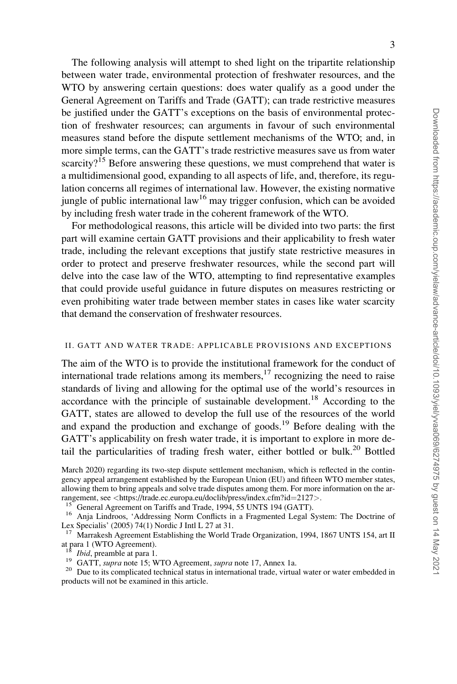The following analysis will attempt to shed light on the tripartite relationship between water trade, environmental protection of freshwater resources, and the WTO by answering certain questions: does water qualify as a good under the General Agreement on Tariffs and Trade (GATT); can trade restrictive measures be justified under the GATT's exceptions on the basis of environmental protection of freshwater resources; can arguments in favour of such environmental measures stand before the dispute settlement mechanisms of the WTO; and, in more simple terms, can the GATT's trade restrictive measures save us from water scarcity?<sup>15</sup> Before answering these questions, we must comprehend that water is a multidimensional good, expanding to all aspects of life, and, therefore, its regulation concerns all regimes of international law. However, the existing normative jungle of public international  $law<sup>16</sup>$  may trigger confusion, which can be avoided by including fresh water trade in the coherent framework of the WTO.

For methodological reasons, this article will be divided into two parts: the first part will examine certain GATT provisions and their applicability to fresh water trade, including the relevant exceptions that justify state restrictive measures in order to protect and preserve freshwater resources, while the second part will delve into the case law of the WTO, attempting to find representative examples that could provide useful guidance in future disputes on measures restricting or even prohibiting water trade between member states in cases like water scarcity that demand the conservation of freshwater resources.

#### II. GATT AND WATER TRADE: APPLICABLE PROVISIONS AND EXCEPTIONS

The aim of the WTO is to provide the institutional framework for the conduct of international trade relations among its members, $17$  recognizing the need to raise standards of living and allowing for the optimal use of the world's resources in accordance with the principle of sustainable development.<sup>18</sup> According to the GATT, states are allowed to develop the full use of the resources of the world and expand the production and exchange of goods.<sup>19</sup> Before dealing with the GATT's applicability on fresh water trade, it is important to explore in more detail the particularities of trading fresh water, either bottled or bulk.<sup>20</sup> Bottled

rangement, see <[https://trade.ec.europa.eu/doclib/press/index.cfm?id](https://trade.ec.europa.eu/doclib/press/index.cfm?id=2127)=[2127](https://trade.ec.europa.eu/doclib/press/index.cfm?id=2127)>.<br><sup>15</sup> General Agreement on Tariffs and Trade, 1994, 55 UNTS 194 (GATT).<br><sup>16</sup> Anja Lindroos, 'Addressing Norm Conflicts in a Fragmented Legal System Lex Specialis' (2005) 74(1) Nordic J Intl L 27 at 31.

Marrakesh Agreement Establishing the World Trade Organization, 1994, 1867 UNTS 154, art II at para 1 (WTO Agreement).

<sup>18</sup> Ibid, preamble at para 1.<br><sup>19</sup> GATT, *supra* note 15; WTO Agreement, *supra* note 17, Annex 1a.<br><sup>20</sup> Due to its complicated technical status in international trade, virtual water or water embedded in products will not be examined in this article.

March 2020) regarding its two-step dispute settlement mechanism, which is reflected in the contingency appeal arrangement established by the European Union (EU) and fifteen WTO member states, allowing them to bring appeals and solve trade disputes among them. For more information on the ar-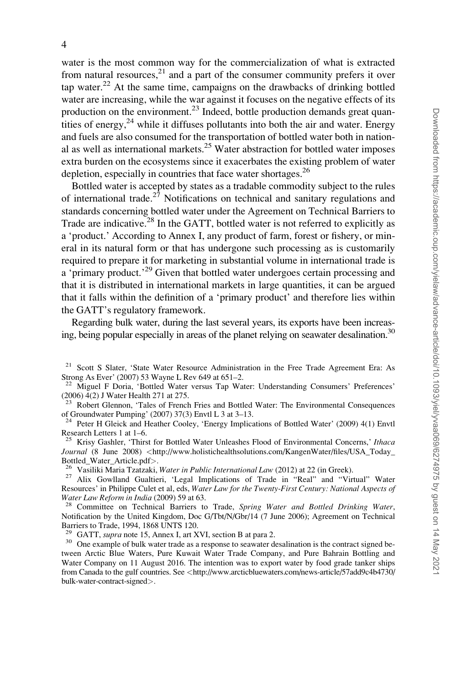water is the most common way for the commercialization of what is extracted from natural resources, $2<sup>1</sup>$  and a part of the consumer community prefers it over tap water.<sup>22</sup> At the same time, campaigns on the drawbacks of drinking bottled water are increasing, while the war against it focuses on the negative effects of its production on the environment. $^{23}$  Indeed, bottle production demands great quantities of energy,  $24$  while it diffuses pollutants into both the air and water. Energy and fuels are also consumed for the transportation of bottled water both in national as well as international markets.<sup>25</sup> Water abstraction for bottled water imposes extra burden on the ecosystems since it exacerbates the existing problem of water depletion, especially in countries that face water shortages.<sup>26</sup>

Bottled water is accepted by states as a tradable commodity subject to the rules of international trade.<sup>27</sup> Notifications on technical and sanitary regulations and standards concerning bottled water under the Agreement on Technical Barriers to Trade are indicative.<sup>28</sup> In the GATT, bottled water is not referred to explicitly as a 'product.' According to Annex I, any product of farm, forest or fishery, or mineral in its natural form or that has undergone such processing as is customarily required to prepare it for marketing in substantial volume in international trade is a 'primary product.<sup>29</sup> Given that bottled water undergoes certain processing and that it is distributed in international markets in large quantities, it can be argued that it falls within the definition of a 'primary product' and therefore lies within the GATT's regulatory framework.

Regarding bulk water, during the last several years, its exports have been increasing, being popular especially in areas of the planet relying on seawater desalination.<sup>30</sup>

<sup>26</sup> Vasiliki Maria Tzatzaki, Water in Public International Law (2012) at 22 (in Greek). <sup>27</sup> Alix Gowlland Gualtieri, 'Legal Implications of Trade in "Real" and "Virtual" Water

Resources' in Philippe Culet et al, eds, Water Law for the Twenty-First Century: National Aspects of Water Law Reform in India (2009) 59 at 63.<br><sup>28</sup> Committee on Technical Barriers to Trade, Spring Water and Bottled Drinking Water,

Notification by the United Kingdom, Doc G/Tbt/N/Gbr/14 (7 June 2006); Agreement on Technical Barriers to Trade, 1994, 1868 UNTS 120.<br><sup>29</sup> GATT, *supra* note 15, Annex I, art XVI, section B at para 2.

<sup>30</sup> One example of bulk water trade as a response to seawater desalination is the contract signed between Arctic Blue Waters, Pure Kuwait Water Trade Company, and Pure Bahrain Bottling and Water Company on 11 August 2016. The intention was to export water by food grade tanker ships from Canada to the gulf countries. See <[http://www.arcticbluewaters.com/news-article/57add9c4b4730/](http://www.arcticbluewaters.com/news-article/57add9c4b4730/bulk-water-contract-signed) [bulk-water-contract-signed](http://www.arcticbluewaters.com/news-article/57add9c4b4730/bulk-water-contract-signed)>.

<sup>&</sup>lt;sup>21</sup> Scott S Slater, 'State Water Resource Administration in the Free Trade Agreement Era: As Strong As Ever' (2007) 53 Wayne L Rev 649 at 651–2.

<sup>&</sup>lt;sup>22</sup> Miguel F Doria, 'Bottled Water versus Tap Water: Understanding Consumers' Preferences' (2006) 4(2) J Water Health 271 at 275.

<sup>&</sup>lt;sup>23</sup> Robert Glennon, 'Tales of French Fries and Bottled Water: The Environmental Consequences of Groundwater Pumping' (2007) 37(3) Envtl L 3 at 3–13.

<sup>&</sup>lt;sup>24</sup> Peter H Gleick and Heather Cooley, 'Energy Implications of Bottled Water' (2009) 4(1) Envtl Research Letters 1 at 1–6.<br><sup>25</sup> Krisy Gashler, 'Thirst for Bottled Water Unleashes Flood of Environmental Concerns,' Ithaca

Journal (8 June 2008) <[http://www.holistichealthsolutions.com/KangenWater/files/USA\\_Today\\_](http://www.holistichealthsolutions.com/KangenWater/files/USA_Today_Bottled_Water_Article.pdf)Bottled Water\_Article.pdf>.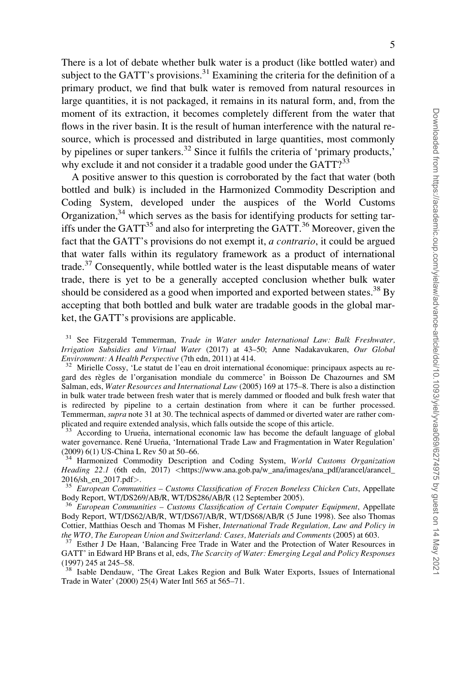There is a lot of debate whether bulk water is a product (like bottled water) and subject to the GATT's provisions.<sup>31</sup> Examining the criteria for the definition of a primary product, we find that bulk water is removed from natural resources in large quantities, it is not packaged, it remains in its natural form, and, from the moment of its extraction, it becomes completely different from the water that flows in the river basin. It is the result of human interference with the natural resource, which is processed and distributed in large quantities, most commonly by pipelines or super tankers.<sup>32</sup> Since it fulfils the criteria of 'primary products,' why exclude it and not consider it a tradable good under the GATT?<sup>33</sup>

A positive answer to this question is corroborated by the fact that water (both bottled and bulk) is included in the Harmonized Commodity Description and Coding System, developed under the auspices of the World Customs Organization,  $34$  which serves as the basis for identifying products for setting tariffs under the GATT<sup>35</sup> and also for interpreting the GATT.<sup>36</sup> Moreover, given the fact that the GATT's provisions do not exempt it, *a contrario*, it could be argued that water falls within its regulatory framework as a product of international trade. $37$  Consequently, while bottled water is the least disputable means of water trade, there is yet to be a generally accepted conclusion whether bulk water should be considered as a good when imported and exported between states.<sup>38</sup> By accepting that both bottled and bulk water are tradable goods in the global market, the GATT's provisions are applicable.

<sup>31</sup> See Fitzgerald Temmerman, Trade in Water under International Law: Bulk Freshwater, Irrigation Subsidies and Virtual Water (2017) at 43–50; Anne Nadakavukaren, Our Global Environment: A Health Perspective (7th edn, 2011) at 414.

<sup>32</sup> Mirielle Cossy, 'Le statut de l'eau en droit international économique: principaux aspects au regard des règles de l'organisation mondiale du commerce' in Boisson De Chazournes and SM Salman, eds, Water Resources and International Law (2005) 169 at 175–8. There is also a distinction in bulk water trade between fresh water that is merely dammed or flooded and bulk fresh water that is redirected by pipeline to a certain destination from where it can be further processed. Temmerman, supra note 31 at 30. The technical aspects of dammed or diverted water are rather complicated and require extended analysis, which falls outside the scope of this article.

 $33$  According to Urueña, international economic law has become the default language of global water governance. René Urueña, 'International Trade Law and Fragmentation in Water Regulation' (2009) 6(1) US-China L Rev 50 at 50–66.

<sup>34</sup> Harmonized Commodity Description and Coding System, World Customs Organization Heading 22.1 (6th edn, 2017) <[https://www.ana.gob.pa/w\\_ana/images/ana\\_pdf/arancel/arancel\\_](https://www.ana.gob.pa/w_ana/images/ana_pdf/arancel/arancel_2016/sh_en_2017.pdf)<br>2016/sh\_en\_2017.pdf>.<br><sup>35</sup> European Communities – Customs Classification of Europe Bouslass Clientes G. (1998)

European Communities – Customs Classification of Frozen Boneless Chicken Cuts, Appellate Body Report, WT/DS269/AB/R, WT/DS286/AB/R (12 September 2005).

 $36$  European Communities - Customs Classification of Certain Computer Equipment, Appellate Body Report, WT/DS62/AB/R, WT/DS67/AB/R, WT/DS68/AB/R (5 June 1998). See also Thomas Cottier, Matthias Oesch and Thomas M Fisher, International Trade Regulation, Law and Policy in the WTO, The European Union and Switzerland: Cases, Materials and Comments (2005) at 603.<br><sup>37</sup> Esther J De Haan, 'Balancing Free Trade in Water and the Protection of Water Resources in

GATT' in Edward HP Brans et al, eds, The Scarcity of Water: Emerging Legal and Policy Responses (1997) 245 at 245–58.

<sup>38</sup> Isable Dendauw, 'The Great Lakes Region and Bulk Water Exports, Issues of International Trade in Water' (2000) 25(4) Water Intl 565 at 565–71.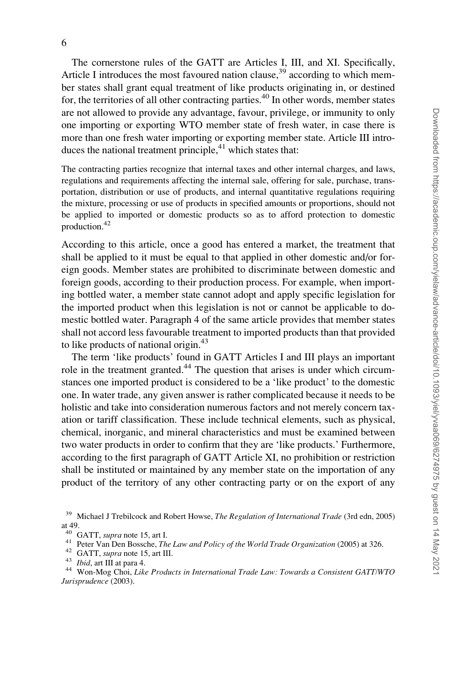The cornerstone rules of the GATT are Articles I, III, and XI. Specifically, Article I introduces the most favoured nation clause,  $39$  according to which member states shall grant equal treatment of like products originating in, or destined for, the territories of all other contracting parties.<sup>40</sup> In other words, member states are not allowed to provide any advantage, favour, privilege, or immunity to only one importing or exporting WTO member state of fresh water, in case there is more than one fresh water importing or exporting member state. Article III introduces the national treatment principle, $41$  which states that:

The contracting parties recognize that internal taxes and other internal charges, and laws, regulations and requirements affecting the internal sale, offering for sale, purchase, transportation, distribution or use of products, and internal quantitative regulations requiring the mixture, processing or use of products in specified amounts or proportions, should not be applied to imported or domestic products so as to afford protection to domestic production.42

According to this article, once a good has entered a market, the treatment that shall be applied to it must be equal to that applied in other domestic and/or foreign goods. Member states are prohibited to discriminate between domestic and foreign goods, according to their production process. For example, when importing bottled water, a member state cannot adopt and apply specific legislation for the imported product when this legislation is not or cannot be applicable to domestic bottled water. Paragraph 4 of the same article provides that member states shall not accord less favourable treatment to imported products than that provided to like products of national origin.<sup>43</sup>

The term 'like products' found in GATT Articles I and III plays an important role in the treatment granted.<sup>44</sup> The question that arises is under which circumstances one imported product is considered to be a 'like product' to the domestic one. In water trade, any given answer is rather complicated because it needs to be holistic and take into consideration numerous factors and not merely concern taxation or tariff classification. These include technical elements, such as physical, chemical, inorganic, and mineral characteristics and must be examined between two water products in order to confirm that they are 'like products.' Furthermore, according to the first paragraph of GATT Article XI, no prohibition or restriction shall be instituted or maintained by any member state on the importation of any product of the territory of any other contracting party or on the export of any

<sup>&</sup>lt;sup>39</sup> Michael J Trebilcock and Robert Howse, The Regulation of International Trade (3rd edn, 2005) at 49.<br> $^{40}$  GATT, *supra* note 15, art I.

<sup>&</sup>lt;sup>41</sup> Peter Van Den Bossche, *The Law and Policy of the World Trade Organization* (2005) at 326.<br><sup>42</sup> GATT, *supra* note 15, art III.<br><sup>43</sup> *Ibid*, art III at para 4.<br><sup>43</sup> *Won-Mog Choi, Like Products in International Trade* Jurisprudence (2003).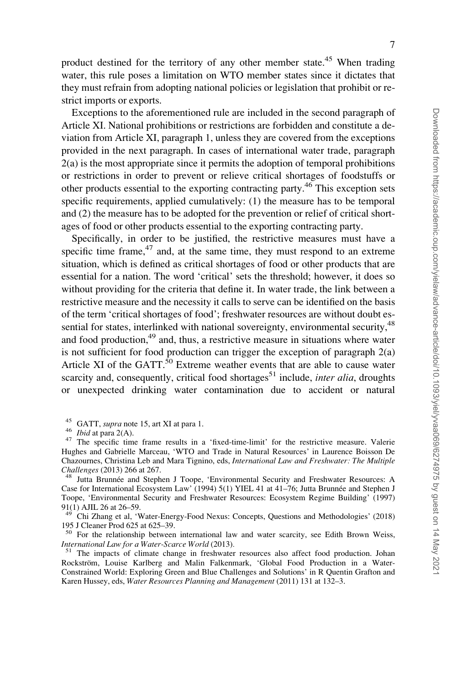product destined for the territory of any other member state.<sup>45</sup> When trading water, this rule poses a limitation on WTO member states since it dictates that they must refrain from adopting national policies or legislation that prohibit or restrict imports or exports.

Exceptions to the aforementioned rule are included in the second paragraph of Article XI. National prohibitions or restrictions are forbidden and constitute a deviation from Article XI, paragraph 1, unless they are covered from the exceptions provided in the next paragraph. In cases of international water trade, paragraph 2(a) is the most appropriate since it permits the adoption of temporal prohibitions or restrictions in order to prevent or relieve critical shortages of foodstuffs or other products essential to the exporting contracting party.<sup>46</sup> This exception sets specific requirements, applied cumulatively: (1) the measure has to be temporal and (2) the measure has to be adopted for the prevention or relief of critical shortages of food or other products essential to the exporting contracting party.

Specifically, in order to be justified, the restrictive measures must have a specific time frame, $47$  and, at the same time, they must respond to an extreme situation, which is defined as critical shortages of food or other products that are essential for a nation. The word 'critical' sets the threshold; however, it does so without providing for the criteria that define it. In water trade, the link between a restrictive measure and the necessity it calls to serve can be identified on the basis of the term 'critical shortages of food'; freshwater resources are without doubt essential for states, interlinked with national sovereignty, environmental security, <sup>48</sup> and food production, $49$  and, thus, a restrictive measure in situations where water is not sufficient for food production can trigger the exception of paragraph  $2(a)$ Article XI of the GATT. $50$  Extreme weather events that are able to cause water scarcity and, consequently, critical food shortages<sup>51</sup> include, *inter alia*, droughts or unexpected drinking water contamination due to accident or natural

<sup>&</sup>lt;sup>45</sup> GATT, *supra* note 15, art XI at para 1.<br><sup>46</sup> *Ibid* at para 2(A).<br><sup>47</sup> The specific time frame results in a 'fixed-time-limit' for the restrictive measure. Valerie Hughes and Gabrielle Marceau, 'WTO and Trade in Natural Resources' in Laurence Boisson De Chazournes, Christina Leb and Mara Tignino, eds, International Law and Freshwater: The Multiple Challenges (2013) 266 at 267.<br><sup>48</sup> Jutta Brunnée and Stephen J Toope, 'Environmental Security and Freshwater Resources: A

Case for International Ecosystem Law' (1994) 5(1) YIEL 41 at 41–76; Jutta Brunnée and Stephen J Toope, 'Environmental Security and Freshwater Resources: Ecosystem Regime Building' (1997) 91(1) AJIL 26 at 26–59.

<sup>&</sup>lt;sup>49</sup> Chi Zhang et al, 'Water-Energy-Food Nexus: Concepts, Questions and Methodologies' (2018) 195 J Cleaner Prod 625 at 625–39.

<sup>&</sup>lt;sup>50</sup> For the relationship between international law and water scarcity, see Edith Brown Weiss, International Law for a Water-Scarce World (2013).<br><sup>51</sup> The impacts of climate change in freshwater resources also affect food production. Johan

Rockström, Louise Karlberg and Malin Falkenmark, 'Global Food Production in a Water-Constrained World: Exploring Green and Blue Challenges and Solutions' in R Quentin Grafton and Karen Hussey, eds, Water Resources Planning and Management (2011) 131 at 132–3.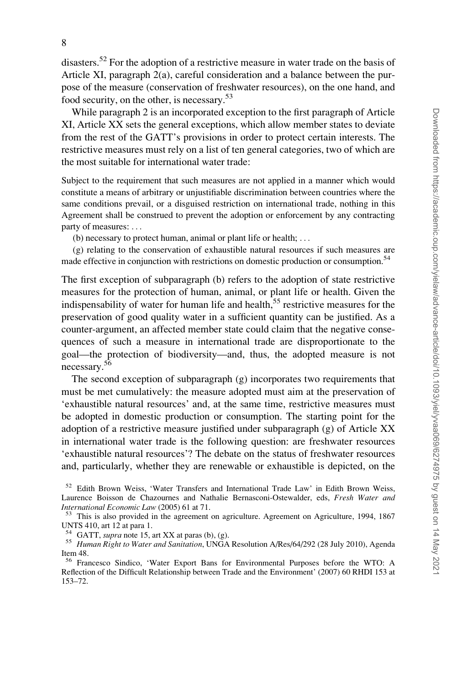disasters.52 For the adoption of a restrictive measure in water trade on the basis of Article XI, paragraph 2(a), careful consideration and a balance between the purpose of the measure (conservation of freshwater resources), on the one hand, and food security, on the other, is necessary.<sup>53</sup>

While paragraph 2 is an incorporated exception to the first paragraph of Article XI, Article XX sets the general exceptions, which allow member states to deviate from the rest of the GATT's provisions in order to protect certain interests. The restrictive measures must rely on a list of ten general categories, two of which are the most suitable for international water trade:

Subject to the requirement that such measures are not applied in a manner which would constitute a means of arbitrary or unjustifiable discrimination between countries where the same conditions prevail, or a disguised restriction on international trade, nothing in this Agreement shall be construed to prevent the adoption or enforcement by any contracting party of measures: ...

(b) necessary to protect human, animal or plant life or health; ...

(g) relating to the conservation of exhaustible natural resources if such measures are made effective in conjunction with restrictions on domestic production or consumption.<sup>54</sup>

The first exception of subparagraph (b) refers to the adoption of state restrictive measures for the protection of human, animal, or plant life or health. Given the indispensability of water for human life and health, $55$  restrictive measures for the preservation of good quality water in a sufficient quantity can be justified. As a counter-argument, an affected member state could claim that the negative consequences of such a measure in international trade are disproportionate to the goal—the protection of biodiversity—and, thus, the adopted measure is not necessary.56

The second exception of subparagraph (g) incorporates two requirements that must be met cumulatively: the measure adopted must aim at the preservation of 'exhaustible natural resources' and, at the same time, restrictive measures must be adopted in domestic production or consumption. The starting point for the adoption of a restrictive measure justified under subparagraph (g) of Article XX in international water trade is the following question: are freshwater resources 'exhaustible natural resources'? The debate on the status of freshwater resources and, particularly, whether they are renewable or exhaustible is depicted, on the

<sup>&</sup>lt;sup>52</sup> Edith Brown Weiss, 'Water Transfers and International Trade Law' in Edith Brown Weiss, Laurence Boisson de Chazournes and Nathalie Bernasconi-Ostewalder, eds, Fresh Water and *International Economic Law* (2005) 61 at 71.<br><sup>53</sup> This is also provided in the agreement on agriculture. Agreement on Agriculture, 1994, 1867

UNTS 410, art 12 at para 1.

<sup>&</sup>lt;sup>54</sup> GATT, *supra* note 15, art XX at paras (b), (g).<br><sup>55</sup> Human Right to Water and Sanitation, UNGA Resolution A/Res/64/292 (28 July 2010), Agenda Item 48.

<sup>56</sup> Francesco Sindico, 'Water Export Bans for Environmental Purposes before the WTO: A Reflection of the Difficult Relationship between Trade and the Environment' (2007) 60 RHDI 153 at 153–72.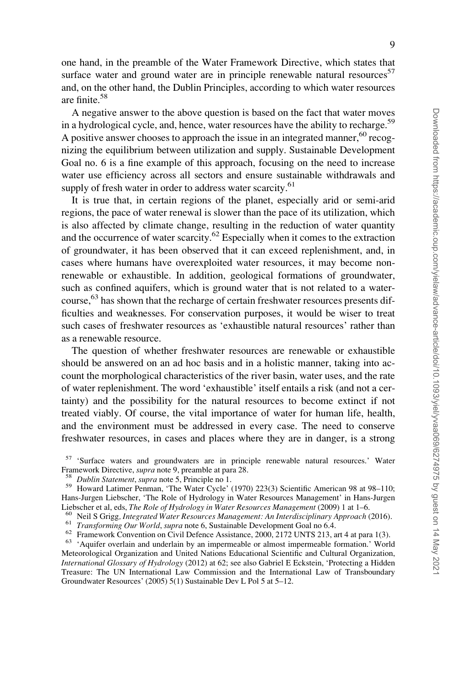one hand, in the preamble of the Water Framework Directive, which states that surface water and ground water are in principle renewable natural resources<sup>57</sup> and, on the other hand, the Dublin Principles, according to which water resources are finite.58

A negative answer to the above question is based on the fact that water moves in a hydrological cycle, and, hence, water resources have the ability to recharge.<sup>59</sup> A positive answer chooses to approach the issue in an integrated manner,  $60^{\circ}$  recognizing the equilibrium between utilization and supply. Sustainable Development Goal no. 6 is a fine example of this approach, focusing on the need to increase water use efficiency across all sectors and ensure sustainable withdrawals and supply of fresh water in order to address water scarcity.<sup>61</sup>

It is true that, in certain regions of the planet, especially arid or semi-arid regions, the pace of water renewal is slower than the pace of its utilization, which is also affected by climate change, resulting in the reduction of water quantity and the occurrence of water scarcity. $62$  Especially when it comes to the extraction of groundwater, it has been observed that it can exceed replenishment, and, in cases where humans have overexploited water resources, it may become nonrenewable or exhaustible. In addition, geological formations of groundwater, such as confined aquifers, which is ground water that is not related to a watercourse,<sup>63</sup> has shown that the recharge of certain freshwater resources presents difficulties and weaknesses. For conservation purposes, it would be wiser to treat such cases of freshwater resources as 'exhaustible natural resources' rather than as a renewable resource.

The question of whether freshwater resources are renewable or exhaustible should be answered on an ad hoc basis and in a holistic manner, taking into account the morphological characteristics of the river basin, water uses, and the rate of water replenishment. The word 'exhaustible' itself entails a risk (and not a certainty) and the possibility for the natural resources to become extinct if not treated viably. Of course, the vital importance of water for human life, health, and the environment must be addressed in every case. The need to conserve freshwater resources, in cases and places where they are in danger, is a strong

<sup>57</sup> 'Surface waters and groundwaters are in principle renewable natural resources.' Water

Framework Directive, *supra* note 9, preamble at para 28.<br><sup>58</sup> Dublin Statement, supra note 5, Principle no 1.<br><sup>59</sup> Howard Latimer Penman, 'The Water Cycle' (1970) 223(3) Scientific American 98 at 98–110; Hans-Jurgen Liebscher, 'The Role of Hydrology in Water Resources Management' in Hans-Jurgen<br>Liebscher et al, eds, The Role of Hydrology in Water Resources Management (2009) 1 at 1–6.

<sup>&</sup>lt;sup>60</sup> Neil S Grigg, *Integrated Water Resources Management: An Interdisciplinary Approach* (2016).<br><sup>61</sup> *Transforming Our World, supra* note 6, Sustainable Development Goal no 6.4.<br><sup>62</sup> Framework Convention on Civil Defenc Meteorological Organization and United Nations Educational Scientific and Cultural Organization, International Glossary of Hydrology (2012) at 62; see also Gabriel E Eckstein, 'Protecting a Hidden Treasure: The UN International Law Commission and the International Law of Transboundary Groundwater Resources' (2005) 5(1) Sustainable Dev L Pol 5 at 5–12.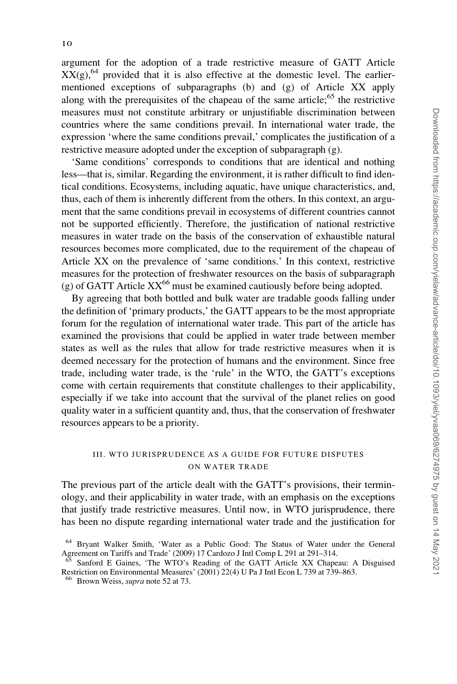argument for the adoption of a trade restrictive measure of GATT Article  $XX(g)$ ,<sup>64</sup> provided that it is also effective at the domestic level. The earliermentioned exceptions of subparagraphs (b) and (g) of Article XX apply along with the prerequisites of the chapeau of the same article; $65$  the restrictive measures must not constitute arbitrary or unjustifiable discrimination between countries where the same conditions prevail. In international water trade, the expression 'where the same conditions prevail,' complicates the justification of a restrictive measure adopted under the exception of subparagraph (g).

'Same conditions' corresponds to conditions that are identical and nothing less—that is, similar. Regarding the environment, it is rather difficult to find identical conditions. Ecosystems, including aquatic, have unique characteristics, and, thus, each of them is inherently different from the others. In this context, an argument that the same conditions prevail in ecosystems of different countries cannot not be supported efficiently. Therefore, the justification of national restrictive measures in water trade on the basis of the conservation of exhaustible natural resources becomes more complicated, due to the requirement of the chapeau of Article XX on the prevalence of 'same conditions.' In this context, restrictive measures for the protection of freshwater resources on the basis of subparagraph (g) of GATT Article  $XX^{66}$  must be examined cautiously before being adopted.

By agreeing that both bottled and bulk water are tradable goods falling under the definition of 'primary products,' the GATT appears to be the most appropriate forum for the regulation of international water trade. This part of the article has examined the provisions that could be applied in water trade between member states as well as the rules that allow for trade restrictive measures when it is deemed necessary for the protection of humans and the environment. Since free trade, including water trade, is the 'rule' in the WTO, the GATT's exceptions come with certain requirements that constitute challenges to their applicability, especially if we take into account that the survival of the planet relies on good quality water in a sufficient quantity and, thus, that the conservation of freshwater resources appears to be a priority.

### III. WTO JURISPRUDENCE AS A GUIDE FOR FUTURE DISPUTES ON WATER TRADE

The previous part of the article dealt with the GATT's provisions, their terminology, and their applicability in water trade, with an emphasis on the exceptions that justify trade restrictive measures. Until now, in WTO jurisprudence, there has been no dispute regarding international water trade and the justification for

<sup>64</sup> Bryant Walker Smith, 'Water as a Public Good: The Status of Water under the General Agreement on Tariffs and Trade' (2009) 17 Cardozo J Intl Comp L 291 at 291–314.

<sup>65</sup> Sanford E Gaines, 'The WTO's Reading of the GATT Article XX Chapeau: A Disguised Restriction on Environmental Measures' (2001) 22(4) U Pa J Intl Econ L 739 at 739–863.

<sup>&</sup>lt;sup>66</sup> Brown Weiss, *supra* note 52 at 73.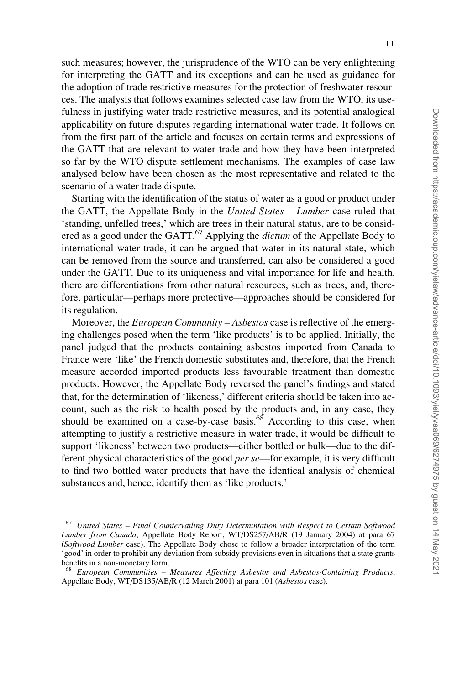such measures; however, the jurisprudence of the WTO can be very enlightening for interpreting the GATT and its exceptions and can be used as guidance for the adoption of trade restrictive measures for the protection of freshwater resources. The analysis that follows examines selected case law from the WTO, its usefulness in justifying water trade restrictive measures, and its potential analogical applicability on future disputes regarding international water trade. It follows on from the first part of the article and focuses on certain terms and expressions of the GATT that are relevant to water trade and how they have been interpreted so far by the WTO dispute settlement mechanisms. The examples of case law analysed below have been chosen as the most representative and related to the scenario of a water trade dispute.

Starting with the identification of the status of water as a good or product under the GATT, the Appellate Body in the United States – Lumber case ruled that 'standing, unfelled trees,' which are trees in their natural status, are to be considered as a good under the GATT. $^{67}$  Applying the *dictum* of the Appellate Body to international water trade, it can be argued that water in its natural state, which can be removed from the source and transferred, can also be considered a good under the GATT. Due to its uniqueness and vital importance for life and health, there are differentiations from other natural resources, such as trees, and, therefore, particular—perhaps more protective—approaches should be considered for its regulation.

Moreover, the *European Community – Asbestos* case is reflective of the emerging challenges posed when the term 'like products' is to be applied. Initially, the panel judged that the products containing asbestos imported from Canada to France were 'like' the French domestic substitutes and, therefore, that the French measure accorded imported products less favourable treatment than domestic products. However, the Appellate Body reversed the panel's findings and stated that, for the determination of 'likeness,' different criteria should be taken into account, such as the risk to health posed by the products and, in any case, they should be examined on a case-by-case basis.<sup>68</sup> According to this case, when attempting to justify a restrictive measure in water trade, it would be difficult to support 'likeness' between two products—either bottled or bulk—due to the different physical characteristics of the good per se—for example, it is very difficult to find two bottled water products that have the identical analysis of chemical substances and, hence, identify them as 'like products.'

 $67$  United States – Final Countervailing Duty Determintation with Respect to Certain Softwood Lumber from Canada, Appellate Body Report, WT/DS257/AB/R (19 January 2004) at para 67 (Softwood Lumber case). The Appellate Body chose to follow a broader interpretation of the term 'good' in order to prohibit any deviation from subsidy provisions even in situations that a state grants benefits in a non-monetary form.

<sup>68</sup> European Communities – Measures Affecting Asbestos and Asbestos-Containing Products, Appellate Body, WT/DS135/AB/R (12 March 2001) at para 101 (Asbestos case).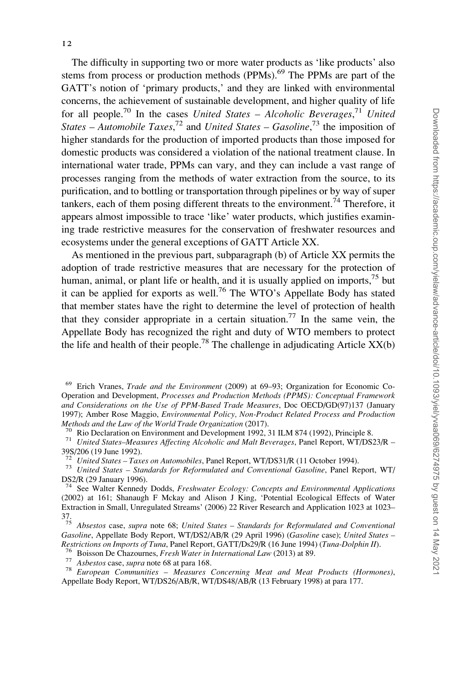The difficulty in supporting two or more water products as 'like products' also stems from process or production methods (PPMs).<sup>69</sup> The PPMs are part of the GATT's notion of 'primary products,' and they are linked with environmental concerns, the achievement of sustainable development, and higher quality of life for all people.<sup>70</sup> In the cases *United States – Alcoholic Beverages*,<sup>71</sup> *United States* – Automobile Taxes,<sup>72</sup> and United States – Gasoline,<sup>73</sup> the imposition of higher standards for the production of imported products than those imposed for

domestic products was considered a violation of the national treatment clause. In international water trade, PPMs can vary, and they can include a vast range of processes ranging from the methods of water extraction from the source, to its purification, and to bottling or transportation through pipelines or by way of super tankers, each of them posing different threats to the environment.<sup>74</sup> Therefore. it appears almost impossible to trace 'like' water products, which justifies examining trade restrictive measures for the conservation of freshwater resources and ecosystems under the general exceptions of GATT Article XX.

As mentioned in the previous part, subparagraph (b) of Article XX permits the adoption of trade restrictive measures that are necessary for the protection of human, animal, or plant life or health, and it is usually applied on imports,<sup>75</sup> but it can be applied for exports as well.76 The WTO's Appellate Body has stated that member states have the right to determine the level of protection of health that they consider appropriate in a certain situation.<sup>77</sup> In the same vein, the Appellate Body has recognized the right and duty of WTO members to protect the life and health of their people.<sup>78</sup> The challenge in adjudicating Article  $XX(b)$ 

<sup>73</sup> United States – Standards for Reformulated and Conventional Gasoline, Panel Report, WT/ DS2/R (29 January 1996).

<sup>69</sup> Erich Vranes, Trade and the Environment (2009) at 69–93; Organization for Economic Co-Operation and Development, Processes and Production Methods (PPMS): Conceptual Framework and Considerations on the Use of PPM-Based Trade Measures, Doc OECD/GD(97)137 (January 1997); Amber Rose Maggio, *Environmental Policy, Non-Product Related Process and Production* 

Methods and the Law of the World Trade Organization (2017).<br><sup>70</sup> Rio Declaration on Environment and Development 1992, 31 ILM 874 (1992), Principle 8.<br><sup>71</sup> United States–Measures Affecting Alcoholic and Malt Beverages, Pan 39S/206 (19 June 1992).<br> $\frac{72}{12}$  United States – Taxes on Automobiles, Panel Report, WT/DS31/R (11 October 1994).

 $74$  See Walter Kennedy Dodds, Freshwater Ecology: Concepts and Environmental Applications (2002) at 161; Shanaugh F Mckay and Alison J King, 'Potential Ecological Effects of Water Extraction in Small, Unregulated Streams' (2006) 22 River Research and Application 1023 at 1023–  $37.75$ 

Absestos case, supra note 68; United States – Standards for Reformulated and Conventional Gasoline, Appellate Body Report, WT/DS2/AB/R (29 April 1996) (Gasoline case); United States –<br>Restrictions on Imports of Tuna, Panel Report, GATT/Ds29/R (16 June 1994) (Tuna-Dolphin II).

<sup>&</sup>lt;sup>76</sup> Boisson De Chazournes, *Fresh Water in International Law* (2013) at 89.<br><sup>77</sup> Asbestos case, *supra* note 68 at para 168.<br><sup>78</sup> European Communities – Measures Concerning Meat and Meat Products (Hormones), Appellate Body Report, WT/DS26/AB/R, WT/DS48/AB/R (13 February 1998) at para 177.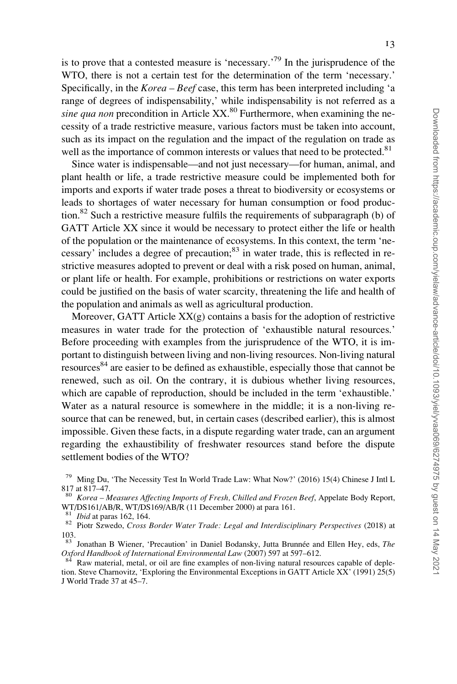is to prove that a contested measure is 'necessary.<sup>79</sup> In the jurisprudence of the WTO, there is not a certain test for the determination of the term 'necessary.' Specifically, in the  $Korea - Beef$  case, this term has been interpreted including 'a range of degrees of indispensability,' while indispensability is not referred as a sine qua non precondition in Article  $XX<sup>80</sup>$  Furthermore, when examining the necessity of a trade restrictive measure, various factors must be taken into account, such as its impact on the regulation and the impact of the regulation on trade as well as the importance of common interests or values that need to be protected.<sup>81</sup>

Since water is indispensable—and not just necessary—for human, animal, and plant health or life, a trade restrictive measure could be implemented both for imports and exports if water trade poses a threat to biodiversity or ecosystems or leads to shortages of water necessary for human consumption or food production.<sup>82</sup> Such a restrictive measure fulfils the requirements of subparagraph (b) of GATT Article XX since it would be necessary to protect either the life or health of the population or the maintenance of ecosystems. In this context, the term 'necessary' includes a degree of precaution; $83$  in water trade, this is reflected in restrictive measures adopted to prevent or deal with a risk posed on human, animal, or plant life or health. For example, prohibitions or restrictions on water exports could be justified on the basis of water scarcity, threatening the life and health of the population and animals as well as agricultural production.

Moreover, GATT Article  $XX(g)$  contains a basis for the adoption of restrictive measures in water trade for the protection of 'exhaustible natural resources.' Before proceeding with examples from the jurisprudence of the WTO, it is important to distinguish between living and non-living resources. Non-living natural resources<sup>84</sup> are easier to be defined as exhaustible, especially those that cannot be renewed, such as oil. On the contrary, it is dubious whether living resources, which are capable of reproduction, should be included in the term 'exhaustible.' Water as a natural resource is somewhere in the middle; it is a non-living resource that can be renewed, but, in certain cases (described earlier), this is almost impossible. Given these facts, in a dispute regarding water trade, can an argument regarding the exhaustibility of freshwater resources stand before the dispute settlement bodies of the WTO?

<sup>&</sup>lt;sup>79</sup> Ming Du, 'The Necessity Test In World Trade Law: What Now?' (2016) 15(4) Chinese J Intl L 817 at 817–47.

<sup>&</sup>lt;sup>80</sup> Korea – Measures Affecting Imports of Fresh, Chilled and Frozen Beef, Appelate Body Report, WT/DS161/AB/R, WT/DS169/AB/R (11 December 2000) at para 161.

 $\frac{81}{82}$  Ibid at paras 162, 164.<br> $\frac{82}{82}$  Piotr Szwedo, *Cross Border Water Trade: Legal and Interdisciplinary Perspectives* (2018) at 103.

Jonathan B Wiener, 'Precaution' in Daniel Bodansky, Jutta Brunnée and Ellen Hey, eds, The Oxford Handbook of International Environmental Law (2007) 597 at 597–612.<br><sup>84</sup> Raw material, metal, or oil are fine examples of non-living natural resources capable of deple-

tion. Steve Charnovitz, 'Exploring the Environmental Exceptions in GATT Article XX' (1991) 25(5) J World Trade 37 at 45–7.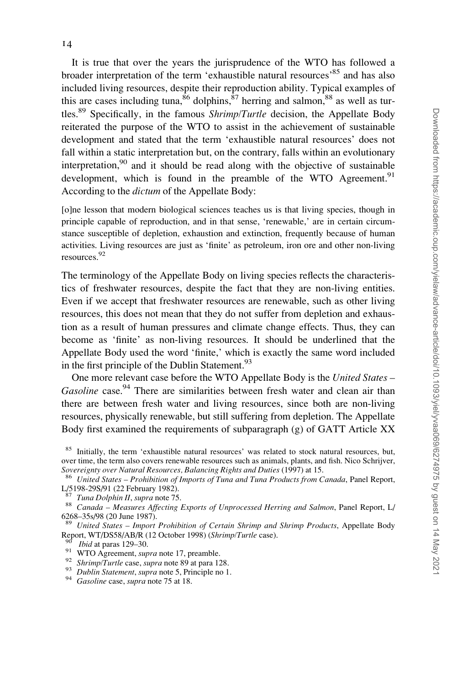It is true that over the years the jurisprudence of the WTO has followed a broader interpretation of the term 'exhaustible natural resources'<sup>85</sup> and has also included living resources, despite their reproduction ability. Typical examples of this are cases including tuna,  $86$  dolphins,  $87$  herring and salmon,  $88$  as well as turtles.<sup>89</sup> Specifically, in the famous *Shrimp/Turtle* decision, the Appellate Body reiterated the purpose of the WTO to assist in the achievement of sustainable development and stated that the term 'exhaustible natural resources' does not fall within a static interpretation but, on the contrary, falls within an evolutionary interpretation,<sup>90</sup> and it should be read along with the objective of sustainable development, which is found in the preamble of the WTO Agreement.<sup>91</sup> According to the dictum of the Appellate Body:

[o]ne lesson that modern biological sciences teaches us is that living species, though in principle capable of reproduction, and in that sense, 'renewable,' are in certain circumstance susceptible of depletion, exhaustion and extinction, frequently because of human activities. Living resources are just as 'finite' as petroleum, iron ore and other non-living resources.92

The terminology of the Appellate Body on living species reflects the characteristics of freshwater resources, despite the fact that they are non-living entities. Even if we accept that freshwater resources are renewable, such as other living resources, this does not mean that they do not suffer from depletion and exhaustion as a result of human pressures and climate change effects. Thus, they can become as 'finite' as non-living resources. It should be underlined that the Appellate Body used the word 'finite,' which is exactly the same word included in the first principle of the Dublin Statement.<sup>93</sup>

One more relevant case before the WTO Appellate Body is the United States – Gasoline case.<sup>94</sup> There are similarities between fresh water and clean air than there are between fresh water and living resources, since both are non-living resources, physically renewable, but still suffering from depletion. The Appellate Body first examined the requirements of subparagraph (g) of GATT Article XX

<sup>&</sup>lt;sup>85</sup> Initially, the term 'exhaustible natural resources' was related to stock natural resources, but, over time, the term also covers renewable resources such as animals, plants, and fish. Nico Schrijver,

Sovereignty over Natural Resources, Balancing Rights and Duties (1997) at 15.<br><sup>86</sup> United States – Prohibition of Imports of Tuna and Tuna Products from Canada, Panel Report, L/5198-29S/91 (22 February 1982).

<sup>&</sup>lt;sup>87</sup> Tuna Dolphin II, supra note 75.<br><sup>88</sup> Canada – Measures Affecting Exports of Unprocessed Herring and Salmon, Panel Report, L/ 6268–35s/98 (20 June 1987).

United States – Import Prohibition of Certain Shrimp and Shrimp Products, Appellate Body Report, WT/DS58/AB/R (12 October 1998) (*Shrimp/Turtle case*).<br>
<sup>90</sup> *Ibid* at paras 129–30.<br>
<sup>91</sup> *WTO Agreement, supra* note 17, preamble.<br>
<sup>92</sup> *Shrimp/Turtle case, supra* note 89 at para 128.<br>
<sup>93</sup> *Dublin Statement,*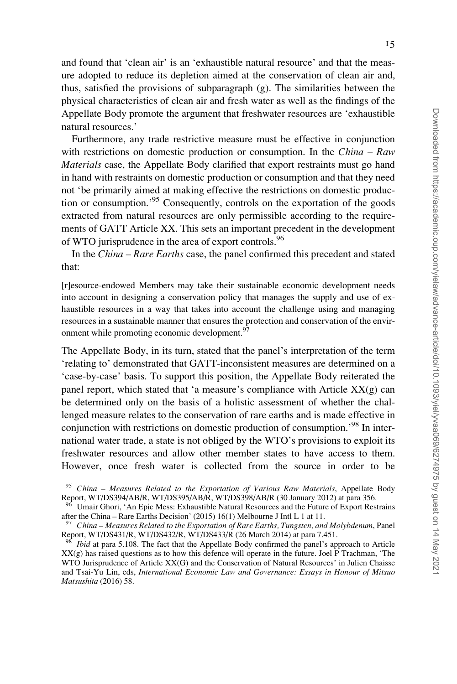Appellate Body promote the argument that freshwater resources are 'exhaustible natural resources.' Furthermore, any trade restrictive measure must be effective in conjunction with restrictions on domestic production or consumption. In the *China – Raw* Materials case, the Appellate Body clarified that export restraints must go hand in hand with restraints on domestic production or consumption and that they need not 'be primarily aimed at making effective the restrictions on domestic production or consumption.'95 Consequently, controls on the exportation of the goods

extracted from natural resources are only permissible according to the requirements of GATT Article XX. This sets an important precedent in the development of WTO jurisprudence in the area of export controls.<sup>96</sup>

In the China – Rare Earths case, the panel confirmed this precedent and stated that:

[r]esource-endowed Members may take their sustainable economic development needs into account in designing a conservation policy that manages the supply and use of exhaustible resources in a way that takes into account the challenge using and managing resources in a sustainable manner that ensures the protection and conservation of the environment while promoting economic development.<sup>97</sup>

The Appellate Body, in its turn, stated that the panel's interpretation of the term 'relating to' demonstrated that GATT-inconsistent measures are determined on a 'case-by-case' basis. To support this position, the Appellate Body reiterated the panel report, which stated that 'a measure's compliance with Article  $XX(g)$  can be determined only on the basis of a holistic assessment of whether the challenged measure relates to the conservation of rare earths and is made effective in conjunction with restrictions on domestic production of consumption.<sup>98</sup> In international water trade, a state is not obliged by the WTO's provisions to exploit its freshwater resources and allow other member states to have access to them. However, once fresh water is collected from the source in order to be

<sup>&</sup>lt;sup>95</sup> China - Measures Related to the Exportation of Various Raw Materials, Appellate Body Report, WT/DS394/AB/R, WT/DS395/AB/R, WT/DS398/AB/R (30 January 2012) at para 356.

<sup>96</sup> Umair Ghori, 'An Epic Mess: Exhaustible Natural Resources and the Future of Export Restrains after the China – Rare Earths Decision' (2015) 16(1) Melbourne J Intl L 1 at 11.

China – Measures Related to the Exportation of Rare Earths, Tungsten, and Molybdenum, Panel Report, WT/DS431/R, WT/DS432/R, WT/DS433/R (26 March 2014) at para 7.451.

Ibid at para 5.108. The fact that the Appellate Body confirmed the panel's approach to Article XX(g) has raised questions as to how this defence will operate in the future. Joel P Trachman, 'The WTO Jurisprudence of Article XX(G) and the Conservation of Natural Resources' in Julien Chaisse and Tsai-Yu Lin, eds, International Economic Law and Governance: Essays in Honour of Mitsuo Matsushita (2016) 58.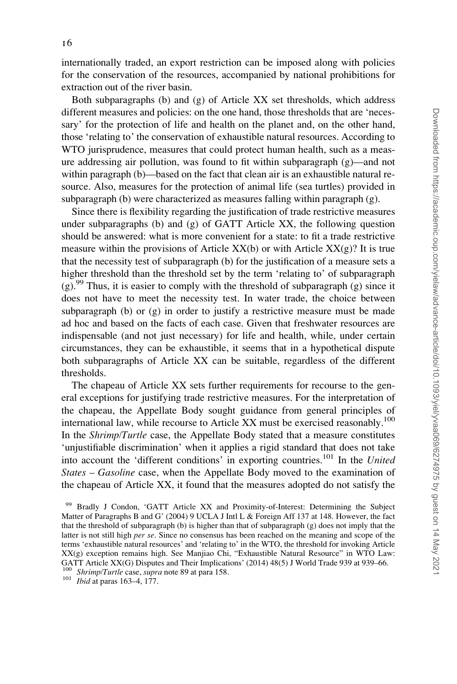internationally traded, an export restriction can be imposed along with policies for the conservation of the resources, accompanied by national prohibitions for extraction out of the river basin.

Both subparagraphs (b) and (g) of Article XX set thresholds, which address different measures and policies: on the one hand, those thresholds that are 'necessary' for the protection of life and health on the planet and, on the other hand, those 'relating to' the conservation of exhaustible natural resources. According to WTO jurisprudence, measures that could protect human health, such as a measure addressing air pollution, was found to fit within subparagraph (g)—and not within paragraph (b)—based on the fact that clean air is an exhaustible natural resource. Also, measures for the protection of animal life (sea turtles) provided in subparagraph (b) were characterized as measures falling within paragraph (g).

Since there is flexibility regarding the justification of trade restrictive measures under subparagraphs (b) and (g) of GATT Article  $XX$ , the following question should be answered: what is more convenient for a state: to fit a trade restrictive measure within the provisions of Article  $XX(b)$  or with Article  $XX(g)$ ? It is true that the necessity test of subparagraph (b) for the justification of a measure sets a higher threshold than the threshold set by the term 'relating to' of subparagraph  $(g)$ .<sup>99</sup> Thus, it is easier to comply with the threshold of subparagraph  $(g)$  since it does not have to meet the necessity test. In water trade, the choice between subparagraph (b) or (g) in order to justify a restrictive measure must be made ad hoc and based on the facts of each case. Given that freshwater resources are indispensable (and not just necessary) for life and health, while, under certain circumstances, they can be exhaustible, it seems that in a hypothetical dispute both subparagraphs of Article XX can be suitable, regardless of the different thresholds.

The chapeau of Article XX sets further requirements for recourse to the general exceptions for justifying trade restrictive measures. For the interpretation of the chapeau, the Appellate Body sought guidance from general principles of international law, while recourse to Article XX must be exercised reasonably.<sup>100</sup> In the Shrimp/Turtle case, the Appellate Body stated that a measure constitutes 'unjustifiable discrimination' when it applies a rigid standard that does not take into account the 'different conditions' in exporting countries.<sup>101</sup> In the United States – Gasoline case, when the Appellate Body moved to the examination of the chapeau of Article XX, it found that the measures adopted do not satisfy the

<sup>&</sup>lt;sup>99</sup> Bradly J Condon, 'GATT Article XX and Proximity-of-Interest: Determining the Subject Matter of Paragraphs B and G' (2004) 9 UCLA J Intl L & Foreign Aff 137 at 148. However, the fact that the threshold of subparagraph  $(b)$  is higher than that of subparagraph  $(g)$  does not imply that the latter is not still high *per se*. Since no consensus has been reached on the meaning and scope of the terms 'exhaustible natural resources' and 'relating to' in the WTO, the threshold for invoking Article XX(g) exception remains high. See Manjiao Chi, "Exhaustible Natural Resource" in WTO Law: GATT Article XX(G) Disputes and Their Implications' (2014) 48(5) J World Trade 939 at 939–66.

<sup>&</sup>lt;sup>100</sup> Shrimp/Turtle case, supra note 89 at para 158.<br><sup>101</sup> Ibid at paras 163–4, 177.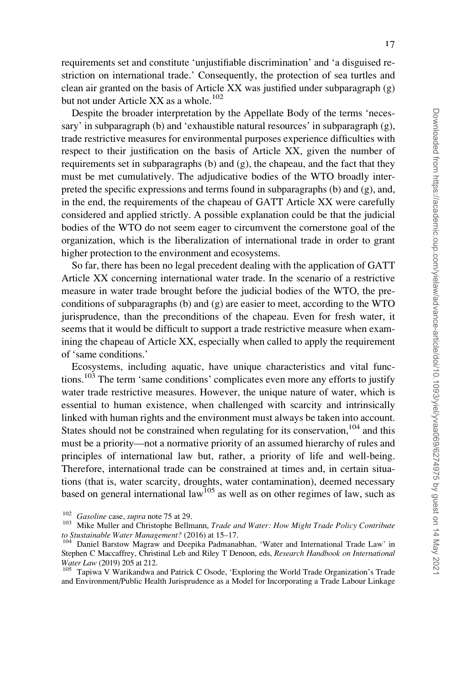requirements set and constitute 'unjustifiable discrimination' and 'a disguised restriction on international trade.' Consequently, the protection of sea turtles and clean air granted on the basis of Article XX was justified under subparagraph  $(g)$ but not under Article XX as a whole.<sup>102</sup>

Despite the broader interpretation by the Appellate Body of the terms 'necessary' in subparagraph (b) and 'exhaustible natural resources' in subparagraph (g), trade restrictive measures for environmental purposes experience difficulties with respect to their justification on the basis of Article XX, given the number of requirements set in subparagraphs (b) and (g), the chapeau, and the fact that they must be met cumulatively. The adjudicative bodies of the WTO broadly interpreted the specific expressions and terms found in subparagraphs (b) and (g), and, in the end, the requirements of the chapeau of GATT Article XX were carefully considered and applied strictly. A possible explanation could be that the judicial bodies of the WTO do not seem eager to circumvent the cornerstone goal of the organization, which is the liberalization of international trade in order to grant higher protection to the environment and ecosystems.

So far, there has been no legal precedent dealing with the application of GATT Article XX concerning international water trade. In the scenario of a restrictive measure in water trade brought before the judicial bodies of the WTO, the preconditions of subparagraphs (b) and (g) are easier to meet, according to the WTO jurisprudence, than the preconditions of the chapeau. Even for fresh water, it seems that it would be difficult to support a trade restrictive measure when examining the chapeau of Article XX, especially when called to apply the requirement of 'same conditions.'

Ecosystems, including aquatic, have unique characteristics and vital functions.<sup>103</sup> The term 'same conditions' complicates even more any efforts to justify water trade restrictive measures. However, the unique nature of water, which is essential to human existence, when challenged with scarcity and intrinsically linked with human rights and the environment must always be taken into account. States should not be constrained when regulating for its conservation, $104$  and this must be a priority—not a normative priority of an assumed hierarchy of rules and principles of international law but, rather, a priority of life and well-being. Therefore, international trade can be constrained at times and, in certain situations (that is, water scarcity, droughts, water contamination), deemed necessary based on general international  $law$ <sup>105</sup> as well as on other regimes of law, such as

<sup>&</sup>lt;sup>102</sup> Gasoline case, supra note 75 at 29.<br><sup>103</sup> Mike Muller and Christophe Bellmann, *Trade and Water: How Might Trade Policy Contribute* to Stustainable Water Management? (2016) at 15–17.<br><sup>104</sup> Daniel Barstow Magraw and Deepika Padmanabhan, 'Water and International Trade Law' in

Stephen C Maccaffrey, Christinal Leb and Riley T Denoon, eds, Research Handbook on International Water Law (2019) 205 at 212.<br><sup>105</sup> Tapiwa V Warikandwa and Patrick C Osode, 'Exploring the World Trade Organization's Trade

and Environment/Public Health Jurisprudence as a Model for Incorporating a Trade Labour Linkage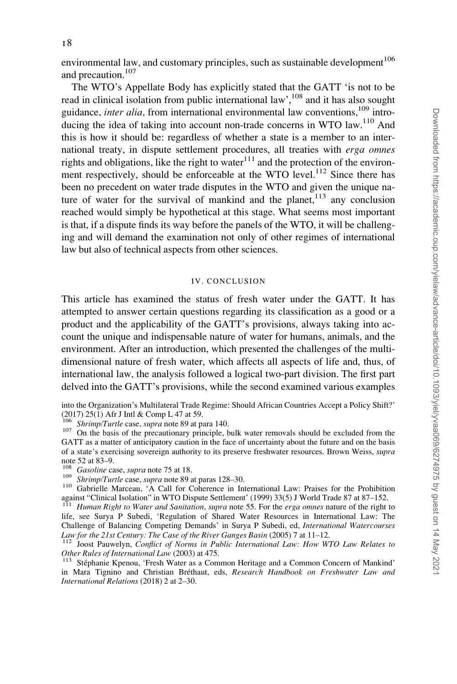environmental law, and customary principles, such as sustainable development $106$ and precaution.<sup>107</sup>

The WTO's Appellate Body has explicitly stated that the GATT 'is not to be read in clinical isolation from public international law',<sup>108</sup> and it has also sought guidance, inter alia, from international environmental law conventions, $^{109}$  introducing the idea of taking into account non-trade concerns in WTO law.<sup>110</sup> And this is how it should be: regardless of whether a state is a member to an international treaty, in dispute settlement procedures, all treaties with erga omnes rights and obligations, like the right to water $111$  and the protection of the environment respectively, should be enforceable at the WTO level.<sup>112</sup> Since there has been no precedent on water trade disputes in the WTO and given the unique nature of water for the survival of mankind and the planet,  $113$  any conclusion reached would simply be hypothetical at this stage. What seems most important is that, if a dispute finds its way before the panels of the WTO, it will be challenging and will demand the examination not only of other regimes of international law but also of technical aspects from other sciences.

#### IV. CONCLUSION

This article has examined the status of fresh water under the GATT. It has attempted to answer certain questions regarding its classification as a good or a product and the applicability of the GATT's provisions, always taking into account the unique and indispensable nature of water for humans, animals, and the environment. After an introduction, which presented the challenges of the multidimensional nature of fresh water, which affects all aspects of life and, thus, of international law, the analysis followed a logical two-part division. The first part delved into the GATT's provisions, while the second examined various examples

into the Organization's Multilateral Trade Regime: Should African Countries Accept a Policy Shift?' (2017) 25(1) Afr J Intl & Comp L 47 at 59.<br> $\frac{106}{106}$  Shrimp/Turtle case, supra note 89 at para 140.

<sup>107</sup> On the basis of the precautionary principle, bulk water removals should be excluded from the GATT as a matter of anticipatory caution in the face of uncertainty about the future and on the basis of a state's exercising sovereign authority to its preserve freshwater resources. Brown Weiss, supra note 52 at 83–9.<br><sup>108</sup> *Gasoline* case, *supra* note 75 at 18.

<sup>109</sup> *Shrimp/Turtle case, supra* note 76 at 18. 109 at 18. 109.<br><sup>110</sup> Gabrielle Marceau, 'A Call for Coherence in International Law: Praises for the Prohibition against "Clinical Isolation" in WTO Dispute Settlement' (1999) 33(5) J World Trade 87 at 87–152.<br><sup>111</sup> Human Right to Water and Sanitation, supra note 55. For the erga omnes nature of the right to

life, see Surya P Subedi, 'Regulation of Shared Water Resources in International Law: The Challenge of Balancing Competing Demands' in Surya P Subedi, ed, International Watercourses Law for the 21st Century: The Case of the River Ganges Basin (2005) 7 at 11–12.<br><sup>112</sup> Joost Pauwelyn, Conflict of Norms in Public International Law: How WTO Law Relates to

Other Rules of International Law (2003) at 475.<br><sup>113</sup> Stéphanie Kpenou, 'Fresh Water as a Common Heritage and a Common Concern of Mankind'

in Mara Tignino and Christian Bréthaut, eds, Research Handbook on Freshwater Law and International Relations (2018) 2 at 2–30.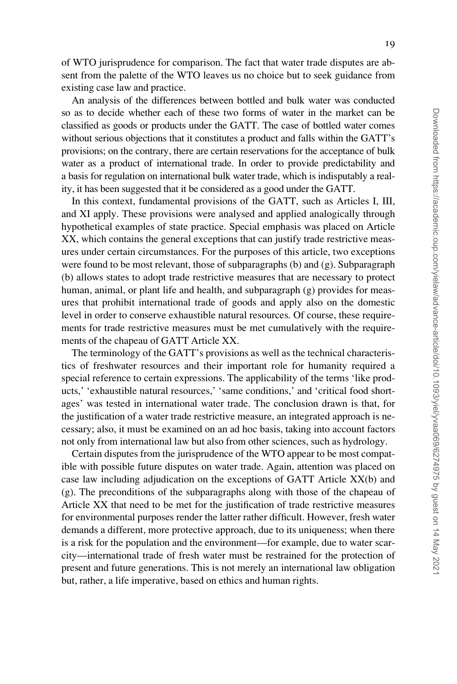of WTO jurisprudence for comparison. The fact that water trade disputes are absent from the palette of the WTO leaves us no choice but to seek guidance from existing case law and practice.

An analysis of the differences between bottled and bulk water was conducted so as to decide whether each of these two forms of water in the market can be classified as goods or products under the GATT. The case of bottled water comes without serious objections that it constitutes a product and falls within the GATT's provisions; on the contrary, there are certain reservations for the acceptance of bulk water as a product of international trade. In order to provide predictability and a basis for regulation on international bulk water trade, which is indisputably a reality, it has been suggested that it be considered as a good under the GATT.

In this context, fundamental provisions of the GATT, such as Articles I, III, and XI apply. These provisions were analysed and applied analogically through hypothetical examples of state practice. Special emphasis was placed on Article XX, which contains the general exceptions that can justify trade restrictive measures under certain circumstances. For the purposes of this article, two exceptions were found to be most relevant, those of subparagraphs (b) and (g). Subparagraph (b) allows states to adopt trade restrictive measures that are necessary to protect human, animal, or plant life and health, and subparagraph (g) provides for measures that prohibit international trade of goods and apply also on the domestic level in order to conserve exhaustible natural resources. Of course, these requirements for trade restrictive measures must be met cumulatively with the requirements of the chapeau of GATT Article XX.

The terminology of the GATT's provisions as well as the technical characteristics of freshwater resources and their important role for humanity required a special reference to certain expressions. The applicability of the terms 'like products,' 'exhaustible natural resources,' 'same conditions,' and 'critical food shortages' was tested in international water trade. The conclusion drawn is that, for the justification of a water trade restrictive measure, an integrated approach is necessary; also, it must be examined on an ad hoc basis, taking into account factors not only from international law but also from other sciences, such as hydrology.

Certain disputes from the jurisprudence of the WTO appear to be most compatible with possible future disputes on water trade. Again, attention was placed on case law including adjudication on the exceptions of GATT Article XX(b) and (g). The preconditions of the subparagraphs along with those of the chapeau of Article XX that need to be met for the justification of trade restrictive measures for environmental purposes render the latter rather difficult. However, fresh water demands a different, more protective approach, due to its uniqueness; when there is a risk for the population and the environment—for example, due to water scarcity—international trade of fresh water must be restrained for the protection of present and future generations. This is not merely an international law obligation but, rather, a life imperative, based on ethics and human rights.